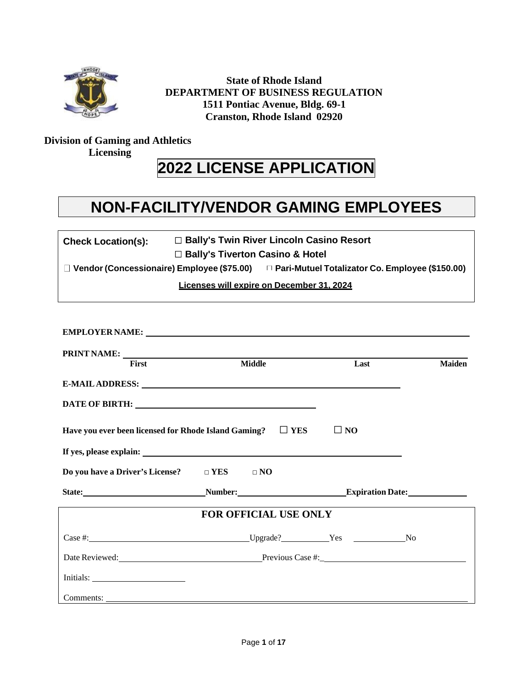

**State of Rhode Island DEPARTMENT OF BUSINESS REGULATION 1511 Pontiac Avenue, Bldg. 69-1 Cranston, Rhode Island 02920**

## **Division of Gaming and Athletics Licensing**

# **2022 LICENSE APPLICATION**

# **NON-FACILITY/VENDOR GAMING EMPLOYEES**

| <b>Check Location(s):</b> | □ Bally's Twin River Lincoln Casino Resort |
|---------------------------|--------------------------------------------|
|---------------------------|--------------------------------------------|

**Bally's Tiverton Casino & Hotel**

**Vendor(Concessionaire) Employee (\$75.00) Pari-Mutuel Totalizator Co. Employee (\$150.00)**

**Licenses will expire on December 31, 2024**

| <b>First</b>                                               | <b>Middle</b>                                                      | Last         | <b>Maiden</b> |
|------------------------------------------------------------|--------------------------------------------------------------------|--------------|---------------|
|                                                            |                                                                    |              |               |
|                                                            |                                                                    |              |               |
|                                                            | Have you ever been licensed for Rhode Island Gaming? $\square$ YES | $\square$ NO |               |
|                                                            |                                                                    |              |               |
| Do you have a Driver's License? $\square$ YES $\square$ NO |                                                                    |              |               |
|                                                            | State: Number: Number: Expiration Date:                            |              |               |
|                                                            | <b>FOR OFFICIAL USE ONLY</b>                                       |              |               |
|                                                            |                                                                    |              |               |
|                                                            | Date Reviewed: Previous Case #: Previous Case #:                   |              |               |
|                                                            |                                                                    |              |               |
|                                                            |                                                                    |              |               |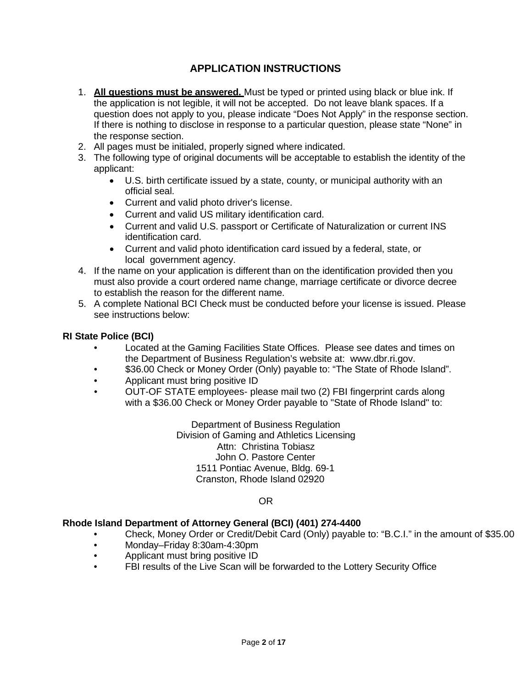## **APPLICATION INSTRUCTIONS**

- 1. **All questions must be answered.** Must be typed or printed using black or blue ink. If the application is not legible, it will not be accepted. Do not leave blank spaces. If a question does not apply to you, please indicate "Does Not Apply" in the response section. If there is nothing to disclose in response to a particular question, please state "None" in the response section.
- 2. All pages must be initialed, properly signed where indicated.
- 3. The following type of original documents will be acceptable to establish the identity of the applicant:
	- U.S. birth certificate issued by a state, county, or municipal authority with an official seal.
	- Current and valid photo driver's license.
	- Current and valid US military identification card.
	- Current and valid U.S. passport or Certificate of Naturalization or current INS identification card.
	- Current and valid photo identification card issued by a federal, state, or local government agency.
- 4. If the name on your application is different than on the identification provided then you must also provide a court ordered name change, marriage certificate or divorce decree to establish the reason for the different name.
- 5. A complete National BCI Check must be conducted before your license is issued. Please see instructions below:

#### **RI State Police (BCI)**

- Located at the Gaming Facilities State Offices. Please see dates and times on the Department of Business Regulation's website a[t: www.dbr.ri.gov.](http://www.dbr.ri.gov/)
- \$36.00 Check or Money Order (Only) payable to: "The State of Rhode Island".
- Applicant must bring positive ID
- OUT-OF STATE employees- please mail two (2) FBI fingerprint cards along with a \$36.00 Check or Money Order payable to "State of Rhode Island" to:

Department of Business Regulation Division of Gaming and Athletics Licensing Attn: Christina Tobiasz John O. Pastore Center 1511 Pontiac Avenue, Bldg. 69-1 Cranston, Rhode Island 02920

#### OR

#### **Rhode Island Department of Attorney General (BCI) (401) 274-4400**

- Check, Money Order or Credit/Debit Card (Only) payable to: "B.C.I." in the amount of \$35.00
- Monday–Friday 8:30am-4:30pm
- Applicant must bring positive ID
- FBI results of the Live Scan will be forwarded to the Lottery Security Office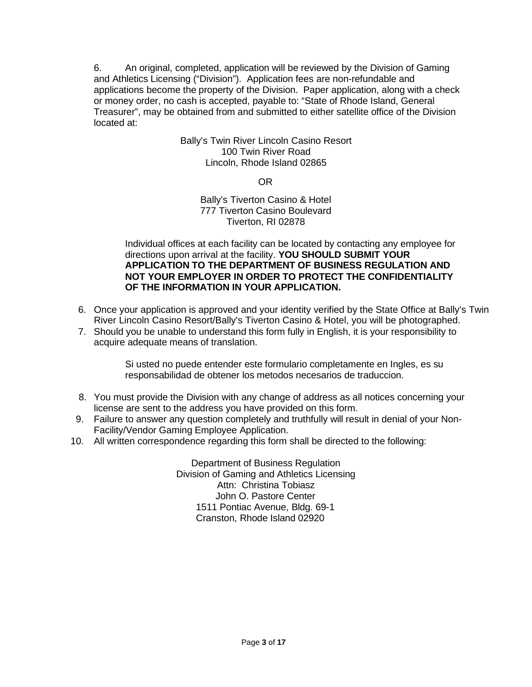6. An original, completed, application will be reviewed by the Division of Gaming and Athletics Licensing ("Division"). Application fees are non-refundable and applications become the property of the Division. Paper application, along with a check or money order, no cash is accepted, payable to: "State of Rhode Island, General Treasurer", may be obtained from and submitted to either satellite office of the Division located at:

## Bally's Twin River Lincoln Casino Resort 100 Twin River Road Lincoln, Rhode Island 02865

OR

#### Bally's Tiverton Casino & Hotel 777 Tiverton Casino Boulevard Tiverton, RI 02878

Individual offices at each facility can be located by contacting any employee for directions upon arrival at the facility. **YOU SHOULD SUBMIT YOUR APPLICATION TO THE DEPARTMENT OF BUSINESS REGULATION AND NOT YOUR EMPLOYER IN ORDER TO PROTECT THE CONFIDENTIALITY OF THE INFORMATION IN YOUR APPLICATION.**

- 6. Once your application is approved and your identity verified by the State Office at Bally's Twin River Lincoln Casino Resort/Bally's Tiverton Casino & Hotel, you will be photographed.
- 7. Should you be unable to understand this form fully in English, it is your responsibility to acquire adequate means of translation.

Si usted no puede entender este formulario completamente en Ingles, es su responsabilidad de obtener los metodos necesarios de traduccion.

- 8. You must provide the Division with any change of address as all notices concerning your license are sent to the address you have provided on this form.
- 9. Failure to answer any question completely and truthfully will result in denial of your Non-Facility/Vendor Gaming Employee Application.
- 10. All written correspondence regarding this form shall be directed to the following:

Department of Business Regulation Division of Gaming and Athletics Licensing Attn: Christina Tobiasz John O. Pastore Center 1511 Pontiac Avenue, Bldg. 69-1 Cranston, Rhode Island 02920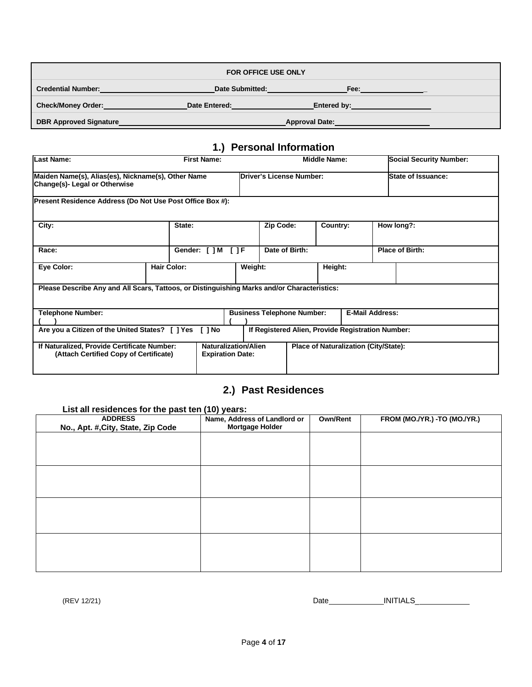| <b>FOR OFFICE USE ONLY</b>    |                 |                       |  |  |
|-------------------------------|-----------------|-----------------------|--|--|
| <b>Credential Number:</b>     | Date Submitted: | Fee:                  |  |  |
| <b>Check/Money Order:</b>     | Date Entered:   | Entered by:           |  |  |
| <b>DBR Approved Signature</b> |                 | <b>Approval Date:</b> |  |  |

## **1.) Personal Information**

| <b>Last Name:</b>                                                                           | <b>First Name:</b>                                                             |                                                        |                                                   | <b>Middle Name:</b>                   |                        | <b>Social Security Number:</b> |
|---------------------------------------------------------------------------------------------|--------------------------------------------------------------------------------|--------------------------------------------------------|---------------------------------------------------|---------------------------------------|------------------------|--------------------------------|
| Change(s)- Legal or Otherwise                                                               | Maiden Name(s), Alias(es), Nickname(s), Other Name<br>Driver's License Number: |                                                        |                                                   | <b>State of Issuance:</b>             |                        |                                |
| Present Residence Address (Do Not Use Post Office Box #):                                   |                                                                                |                                                        |                                                   |                                       |                        |                                |
| City:                                                                                       | State:                                                                         |                                                        | Zip Code:                                         | Country:                              |                        | How long?:                     |
| Race:                                                                                       | Gender: [ ] M [ ] F                                                            |                                                        | Date of Birth:                                    |                                       |                        | <b>Place of Birth:</b>         |
| Eye Color:                                                                                  | <b>Hair Color:</b>                                                             | Weight:                                                |                                                   | Height:                               |                        |                                |
| Please Describe Any and All Scars, Tattoos, or Distinguishing Marks and/or Characteristics: |                                                                                |                                                        |                                                   |                                       |                        |                                |
| <b>Telephone Number:</b>                                                                    |                                                                                |                                                        | <b>Business Telephone Number:</b>                 |                                       | <b>E-Mail Address:</b> |                                |
| Are you a Citizen of the United States? [ ] Yes                                             | <b>I</b> I No                                                                  |                                                        | If Registered Alien, Provide Registration Number: |                                       |                        |                                |
| If Naturalized, Provide Certificate Number:<br>(Attach Certified Copy of Certificate)       |                                                                                | <b>Naturalization/Alien</b><br><b>Expiration Date:</b> |                                                   | Place of Naturalization (City/State): |                        |                                |

## **2.) Past Residences**

| List all residences for the past ten (10) years:     |                                                        |                 |                               |  |  |  |  |  |  |
|------------------------------------------------------|--------------------------------------------------------|-----------------|-------------------------------|--|--|--|--|--|--|
| <b>ADDRESS</b><br>No., Apt. #, City, State, Zip Code | Name, Address of Landlord or<br><b>Mortgage Holder</b> | <b>Own/Rent</b> | FROM (MO./YR.) - TO (MO./YR.) |  |  |  |  |  |  |
|                                                      |                                                        |                 |                               |  |  |  |  |  |  |
|                                                      |                                                        |                 |                               |  |  |  |  |  |  |
|                                                      |                                                        |                 |                               |  |  |  |  |  |  |
|                                                      |                                                        |                 |                               |  |  |  |  |  |  |
|                                                      |                                                        |                 |                               |  |  |  |  |  |  |
|                                                      |                                                        |                 |                               |  |  |  |  |  |  |
|                                                      |                                                        |                 |                               |  |  |  |  |  |  |
|                                                      |                                                        |                 |                               |  |  |  |  |  |  |
|                                                      |                                                        |                 |                               |  |  |  |  |  |  |
|                                                      |                                                        |                 |                               |  |  |  |  |  |  |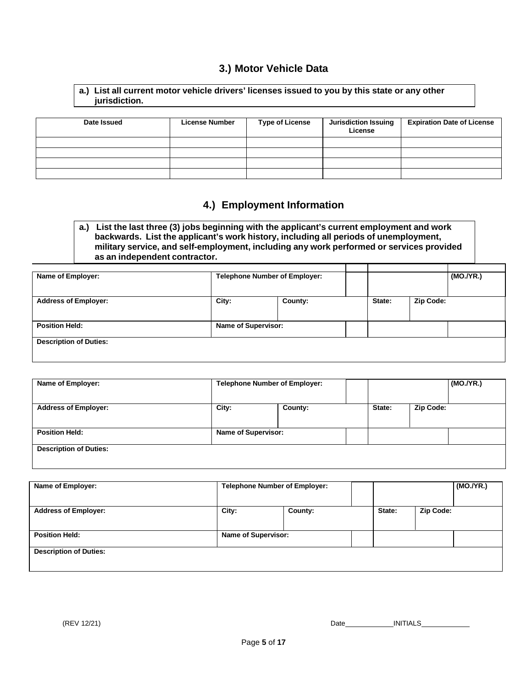## **3.) Motor Vehicle Data**

| a.) List all current motor vehicle drivers' licenses issued to you by this state or any other |  |
|-----------------------------------------------------------------------------------------------|--|
| jurisdiction.                                                                                 |  |

| Date Issued | <b>License Number</b> | <b>Type of License</b> | <b>Jurisdiction Issuing</b><br>License | <b>Expiration Date of License</b> |
|-------------|-----------------------|------------------------|----------------------------------------|-----------------------------------|
|             |                       |                        |                                        |                                   |
|             |                       |                        |                                        |                                   |
|             |                       |                        |                                        |                                   |
|             |                       |                        |                                        |                                   |

## **4.) Employment Information**

**a.) List the last three (3) jobs beginning with the applicant's current employment and work backwards. List the applicant's work history, including all periods of unemployment, military service, and self-employment, including any work performed or services provided as an independent contractor.**

| Name of Employer:             | <b>Telephone Number of Employer:</b> |         |        | (MO./YR.) |  |
|-------------------------------|--------------------------------------|---------|--------|-----------|--|
|                               |                                      |         |        |           |  |
|                               |                                      |         |        |           |  |
| <b>Address of Employer:</b>   | City:                                | County: | State: | Zip Code: |  |
|                               |                                      |         |        |           |  |
|                               |                                      |         |        |           |  |
| <b>Position Held:</b>         | <b>Name of Supervisor:</b>           |         |        |           |  |
|                               |                                      |         |        |           |  |
| <b>Description of Duties:</b> |                                      |         |        |           |  |
|                               |                                      |         |        |           |  |
|                               |                                      |         |        |           |  |

| County:                    | State: | <b>Zip Code:</b> |  |
|----------------------------|--------|------------------|--|
|                            |        |                  |  |
| <b>Name of Supervisor:</b> |        |                  |  |
|                            |        |                  |  |

| Name of Employer:             | <b>Telephone Number of Employer:</b> |         |        |           | (MO./YR.) |
|-------------------------------|--------------------------------------|---------|--------|-----------|-----------|
| <b>Address of Employer:</b>   | City:                                | County: | State: | Zip Code: |           |
| <b>Position Held:</b>         | <b>Name of Supervisor:</b>           |         |        |           |           |
| <b>Description of Duties:</b> |                                      |         |        |           |           |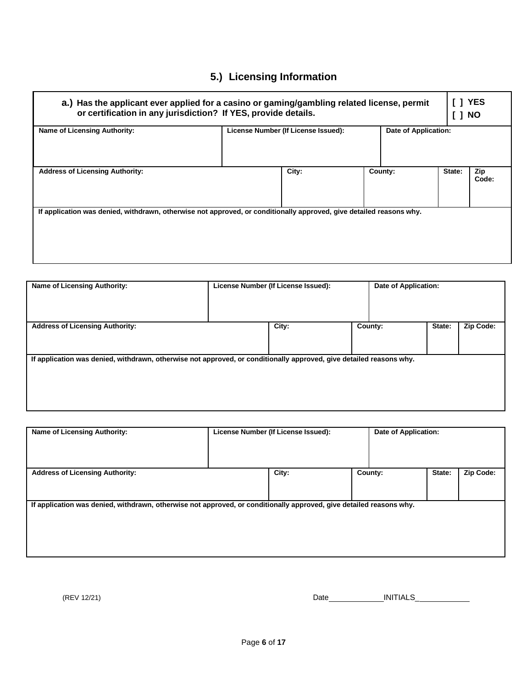# **5.) Licensing Information**

| a.) Has the applicant ever applied for a casino or gaming/gambling related license, permit<br>or certification in any jurisdiction? If YES, provide details. |                                                             |       |  |         |        |              |
|--------------------------------------------------------------------------------------------------------------------------------------------------------------|-------------------------------------------------------------|-------|--|---------|--------|--------------|
| <b>Name of Licensing Authority:</b>                                                                                                                          | Date of Application:<br>License Number (If License Issued): |       |  |         |        |              |
| <b>Address of Licensing Authority:</b>                                                                                                                       |                                                             | City: |  | County: | State: | Zip<br>Code: |
| If application was denied, withdrawn, otherwise not approved, or conditionally approved, give detailed reasons why.                                          |                                                             |       |  |         |        |              |

| <b>Name of Licensing Authority:</b>                                                                                 | License Number (If License Issued): |       | Date of Application: |        |           |
|---------------------------------------------------------------------------------------------------------------------|-------------------------------------|-------|----------------------|--------|-----------|
|                                                                                                                     |                                     |       |                      |        |           |
| <b>Address of Licensing Authority:</b>                                                                              |                                     | City: | County:              | State: | Zip Code: |
|                                                                                                                     |                                     |       |                      |        |           |
|                                                                                                                     |                                     |       |                      |        |           |
| If application was denied, withdrawn, otherwise not approved, or conditionally approved, give detailed reasons why. |                                     |       |                      |        |           |
|                                                                                                                     |                                     |       |                      |        |           |
|                                                                                                                     |                                     |       |                      |        |           |
|                                                                                                                     |                                     |       |                      |        |           |
|                                                                                                                     |                                     |       |                      |        |           |

| License Number (If License Issued): |       |         |                                                                                                                                                       |
|-------------------------------------|-------|---------|-------------------------------------------------------------------------------------------------------------------------------------------------------|
|                                     |       |         | Zip Code:                                                                                                                                             |
|                                     |       |         |                                                                                                                                                       |
|                                     |       |         |                                                                                                                                                       |
|                                     |       |         |                                                                                                                                                       |
|                                     |       |         |                                                                                                                                                       |
|                                     |       |         |                                                                                                                                                       |
|                                     | City: | County: | Date of Application:<br>State:<br>If application was denied, withdrawn, otherwise not approved, or conditionally approved, give detailed reasons why. |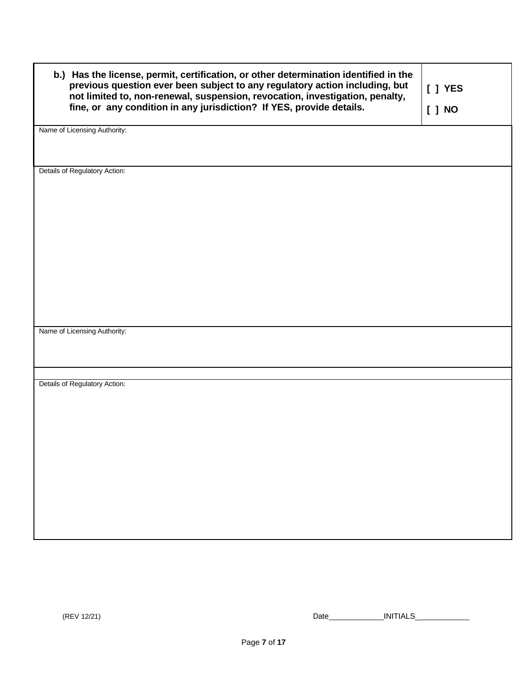| b.) Has the license, permit, certification, or other determination identified in the<br>previous question ever been subject to any regulatory action including, but<br>not limited to, non-renewal, suspension, revocation, investigation, penalty,<br>fine, or any condition in any jurisdiction? If YES, provide details. | [ ] YES |
|-----------------------------------------------------------------------------------------------------------------------------------------------------------------------------------------------------------------------------------------------------------------------------------------------------------------------------|---------|
|                                                                                                                                                                                                                                                                                                                             | [ ] NO  |
| Name of Licensing Authority:                                                                                                                                                                                                                                                                                                |         |
| Details of Regulatory Action:                                                                                                                                                                                                                                                                                               |         |
|                                                                                                                                                                                                                                                                                                                             |         |
|                                                                                                                                                                                                                                                                                                                             |         |
|                                                                                                                                                                                                                                                                                                                             |         |
|                                                                                                                                                                                                                                                                                                                             |         |
| Name of Licensing Authority:                                                                                                                                                                                                                                                                                                |         |
| Details of Regulatory Action:                                                                                                                                                                                                                                                                                               |         |
|                                                                                                                                                                                                                                                                                                                             |         |
|                                                                                                                                                                                                                                                                                                                             |         |
|                                                                                                                                                                                                                                                                                                                             |         |
|                                                                                                                                                                                                                                                                                                                             |         |
|                                                                                                                                                                                                                                                                                                                             |         |
|                                                                                                                                                                                                                                                                                                                             |         |
|                                                                                                                                                                                                                                                                                                                             |         |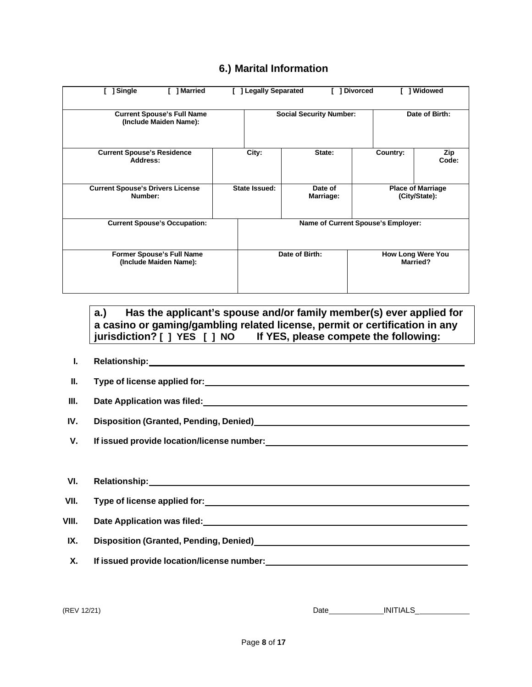## **6.) Marital Information**

| ] Single<br>1 Married                                       | <b>Legally Separated</b>                         |                      | <b>Divorced</b> | 1 Widowed                                   |
|-------------------------------------------------------------|--------------------------------------------------|----------------------|-----------------|---------------------------------------------|
| <b>Current Spouse's Full Name</b><br>(Include Maiden Name): | Date of Birth:<br><b>Social Security Number:</b> |                      |                 |                                             |
| <b>Current Spouse's Residence</b><br>Address:               | City:                                            | State:               | Country:        | Zip<br>Code:                                |
| <b>Current Spouse's Drivers License</b><br>Number:          | State Issued:                                    | Date of<br>Marriage: |                 | <b>Place of Marriage</b><br>(City/State):   |
| <b>Current Spouse's Occupation:</b>                         | Name of Current Spouse's Employer:               |                      |                 |                                             |
| <b>Former Spouse's Full Name</b><br>(Include Maiden Name):  |                                                  | Date of Birth:       |                 | <b>How Long Were You</b><br><b>Married?</b> |

**a.) Has the applicant's spouse and/or family member(s) ever applied for a casino or gaming/gambling related license, permit or certification in any jurisdiction? [ ] YES [ ] NO If YES, please compete the following:**

- **I. Relationship:**
- **II. Type of license applied for:**
- **III. Date Application was filed:**
- **IV. Disposition (Granted, Pending, Denied)**
- **V. If issued provide location/license number:**

| VI.   | <b>Relationship:</b><br><u> 1989 - John Stein, mars and der Stein and der Stein and der Stein and der Stein and der Stein and der Stein a</u> |
|-------|-----------------------------------------------------------------------------------------------------------------------------------------------|
| VII.  | Type of license applied for:                                                                                                                  |
| VIII. |                                                                                                                                               |
| IX.   |                                                                                                                                               |
| Χ.    | If issued provide location/license number:                                                                                                    |
|       |                                                                                                                                               |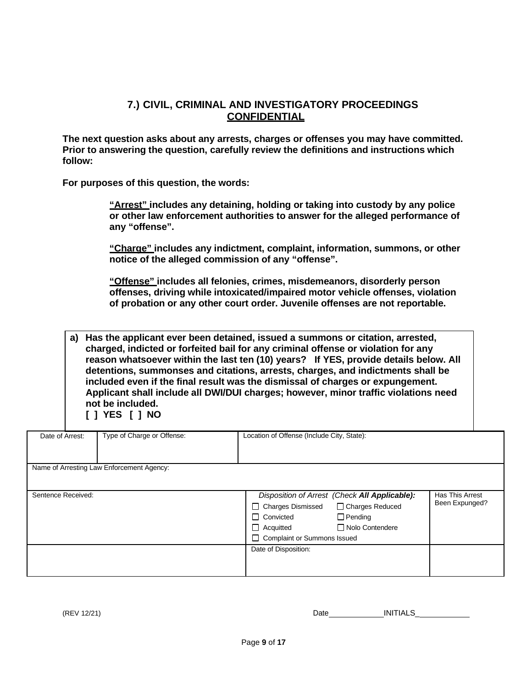## **7.) CIVIL, CRIMINAL AND INVESTIGATORY PROCEEDINGS CONFIDENTIAL**

**The next question asks about any arrests, charges or offenses you may have committed. Prior to answering the question, carefully review the definitions and instructions which follow:**

**For purposes of this question, the words:**

**"Arrest" includes any detaining, holding or taking into custody by any police or other law enforcement authorities to answer for the alleged performance of any "offense".**

**"Charge" includes any indictment, complaint, information, summons, or other notice of the alleged commission of any "offense".**

**"Offense" includes all felonies, crimes, misdemeanors, disorderly person offenses, driving while intoxicated/impaired motor vehicle offenses, violation of probation or any other court order. Juvenile offenses are not reportable.**

**a) Has the applicant ever been detained, issued a summons or citation, arrested, charged, indicted or forfeited bail for any criminal offense or violation for any reason whatsoever within the last ten (10) years? If YES, provide details below. All detentions, summonses and citations, arrests, charges, and indictments shall be included even if the final result was the dismissal of charges or expungement. Applicant shall include all DWI/DUI charges; however, minor traffic violations need not be included.**

**[ ] YES [ ] NO**

| Date of Arrest:    | Type of Charge or Offense:                | Location of Offense (Include City, State):                                                                                                                                                           |                                   |
|--------------------|-------------------------------------------|------------------------------------------------------------------------------------------------------------------------------------------------------------------------------------------------------|-----------------------------------|
|                    | Name of Arresting Law Enforcement Agency: |                                                                                                                                                                                                      |                                   |
| Sentence Received: |                                           | Disposition of Arrest (Check All Applicable):<br>□ Charges Reduced<br>□ Charges Dismissed<br>$\Box$ Pending<br>□ Convicted<br>□ Nolo Contendere<br>$\Box$ Acquitted<br>□ Complaint or Summons Issued | Has This Arrest<br>Been Expunged? |
|                    |                                           | Date of Disposition:                                                                                                                                                                                 |                                   |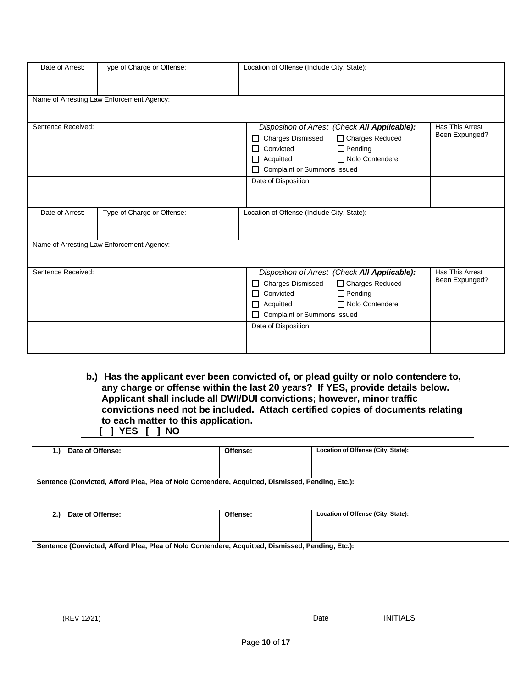| Date of Arrest:    | Type of Charge or Offense:                | Location of Offense (Include City, State):    |                 |  |
|--------------------|-------------------------------------------|-----------------------------------------------|-----------------|--|
|                    |                                           |                                               |                 |  |
|                    | Name of Arresting Law Enforcement Agency: |                                               |                 |  |
|                    |                                           |                                               |                 |  |
|                    |                                           |                                               |                 |  |
| Sentence Received: |                                           | Disposition of Arrest (Check All Applicable): | Has This Arrest |  |
|                    |                                           | <b>Charges Dismissed</b><br>□ Charges Reduced | Been Expunged?  |  |
|                    |                                           | $\Box$ Pending<br>Convicted                   |                 |  |
|                    |                                           | Nolo Contendere<br>Acquitted                  |                 |  |
|                    |                                           | Complaint or Summons Issued                   |                 |  |
|                    |                                           | Date of Disposition:                          |                 |  |
|                    |                                           |                                               |                 |  |
|                    |                                           |                                               |                 |  |
| Date of Arrest:    | Type of Charge or Offense:                | Location of Offense (Include City, State):    |                 |  |
|                    |                                           |                                               |                 |  |
|                    |                                           |                                               |                 |  |
|                    | Name of Arresting Law Enforcement Agency: |                                               |                 |  |
|                    |                                           |                                               |                 |  |
| Sentence Received: |                                           | Disposition of Arrest (Check All Applicable): | Has This Arrest |  |
|                    |                                           | <b>Charges Dismissed</b><br>□ Charges Reduced | Been Expunged?  |  |
|                    |                                           | Convicted<br>$\Box$ Pending                   |                 |  |
|                    |                                           | Nolo Contendere<br>Acquitted                  |                 |  |
|                    |                                           | Complaint or Summons Issued                   |                 |  |
|                    |                                           | Date of Disposition:                          |                 |  |
|                    |                                           |                                               |                 |  |
|                    |                                           |                                               |                 |  |

**b.) Has the applicant ever been convicted of, or plead guilty or nolo contendere to, any charge or offense within the last 20 years? If YES, provide details below. Applicant shall include all DWI/DUI convictions; however, minor traffic convictions need not be included. Attach certified copies of documents relating to each matter to this application. [ ] YES [ ] NO**

| Date of Offense:<br>1.                                                                           | Offense: | Location of Offense (City, State): |
|--------------------------------------------------------------------------------------------------|----------|------------------------------------|
|                                                                                                  |          |                                    |
| Sentence (Convicted, Afford Plea, Plea of Nolo Contendere, Acquitted, Dismissed, Pending, Etc.): |          |                                    |
|                                                                                                  |          |                                    |
|                                                                                                  |          |                                    |
| Date of Offense:<br>2.)                                                                          | Offense: | Location of Offense (City, State): |
|                                                                                                  |          |                                    |
| Sentence (Convicted, Afford Plea, Plea of Nolo Contendere, Acquitted, Dismissed, Pending, Etc.): |          |                                    |
|                                                                                                  |          |                                    |
|                                                                                                  |          |                                    |
|                                                                                                  |          |                                    |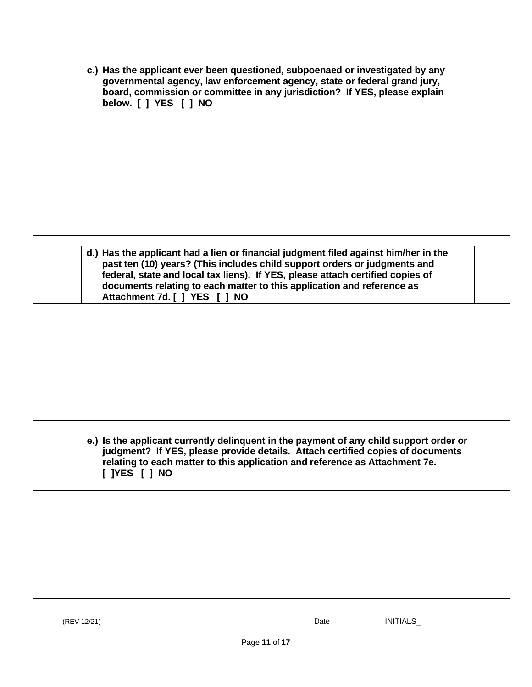| c.) Has the applicant ever been questioned, subpoenaed or investigated by any |
|-------------------------------------------------------------------------------|
| governmental agency, law enforcement agency, state or federal grand jury,     |
| board, commission or committee in any jurisdiction? If YES, please explain    |
| below. [ ] YES [ ] NO                                                         |

| d.) Has the applicant had a lien or financial judgment filed against him/her in the |
|-------------------------------------------------------------------------------------|
| past ten (10) years? (This includes child support orders or judgments and           |
| federal, state and local tax liens). If YES, please attach certified copies of      |
| documents relating to each matter to this application and reference as              |
| Attachment 7d. [ ] YES [ ] NO                                                       |

#### **e.) Is the applicant currently delinquent in the payment of any child support order or judgment? If YES, please provide details. Attach certified copies of documents relating to each matter to this application and reference as Attachment 7e. [ ]YES [ ] NO**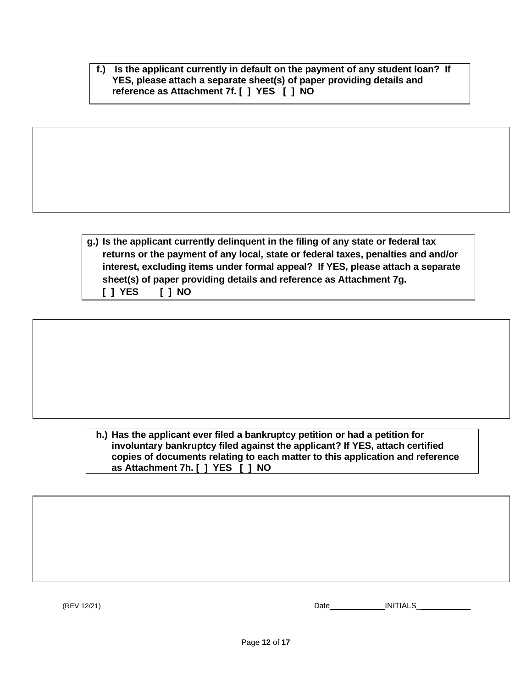**f.) Is the applicant currently in default on the payment of any student loan? If YES, please attach a separate sheet(s) of paper providing details and reference as Attachment 7f. [ ] YES [ ] NO**

**g.) Is the applicant currently delinquent in the filing of any state or federal tax returns or the payment of any local, state or federal taxes, penalties and and/or interest, excluding items under formal appeal? If YES, please attach a separate sheet(s) of paper providing details and reference as Attachment 7g. [ ] YES [ ] NO**

**h.) Has the applicant ever filed a bankruptcy petition or had a petition for involuntary bankruptcy filed against the applicant? If YES, attach certified copies of documents relating to each matter to this application and reference as Attachment 7h. [ ] YES [ ] NO**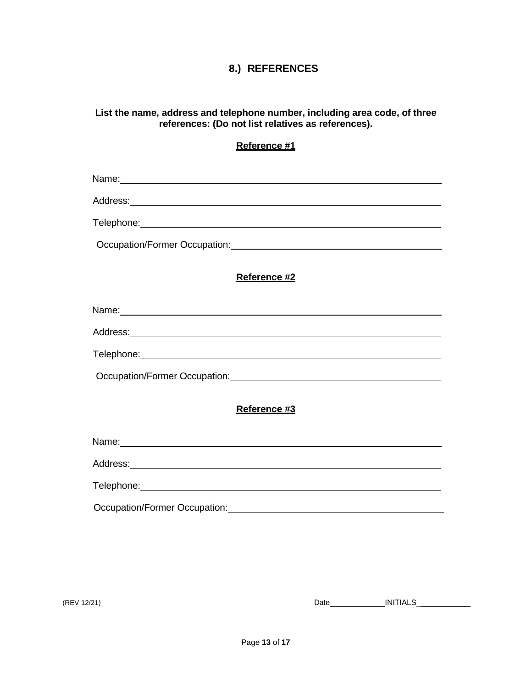## **8.) REFERENCES**

#### **List the name, address and telephone number, including area code, of three references: (Do not list relatives as references).**

#### **Reference #1**

Name:

Address:

Telephone:

Occupation/Former Occupation:

### **Reference #2**

Name:

Address:

Telephone: The contract of the contract of the contract of the contract of the contract of the contract of the contract of the contract of the contract of the contract of the contract of the contract of the contract of the

Occupation/Former Occupation: Notified and the set of the set of the set of the set of the set of the set of the set of the set of the set of the set of the set of the set of the set of the set of the set of the set of the

#### **Reference #3**

Name: 2008. 2009. 2009. 2009. 2010. 2010. 2010. 2010. 2010. 2010. 2010. 2010. 2010. 2010. 2010. 2010. 2010. 20

Address:

Telephone:

Occupation/Former Occupation: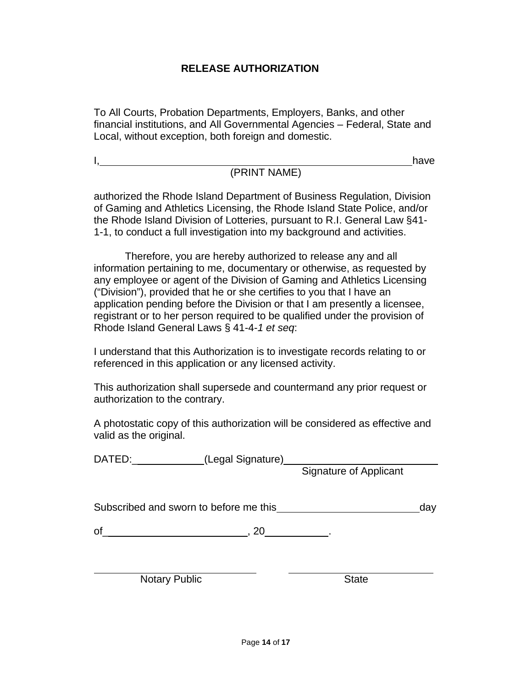## **RELEASE AUTHORIZATION**

To All Courts, Probation Departments, Employers, Banks, and other financial institutions, and All Governmental Agencies – Federal, State and Local, without exception, both foreign and domestic.

I, have have the contract of the contract of the contract of the contract of the contract of the contract of the contract of the contract of the contract of the contract of the contract of the contract of the contract of t

## (PRINT NAME)

authorized the Rhode Island Department of Business Regulation, Division of Gaming and Athletics Licensing, the Rhode Island State Police, and/or the Rhode Island Division of Lotteries, pursuant to R.I. General Law §41- 1-1, to conduct a full investigation into my background and activities.

Therefore, you are hereby authorized to release any and all information pertaining to me, documentary or otherwise, as requested by any employee or agent of the Division of Gaming and Athletics Licensing ("Division"), provided that he or she certifies to you that I have an application pending before the Division or that I am presently a licensee, registrant or to her person required to be qualified under the provision of Rhode Island General Laws § 41-4-*1 et seq*:

I understand that this Authorization is to investigate records relating to or referenced in this application or any licensed activity.

This authorization shall supersede and countermand any prior request or authorization to the contrary.

A photostatic copy of this authorization will be considered as effective and valid as the original.

DATED:\_\_\_\_\_\_\_\_\_\_\_\_\_(Legal Signature<u>)</u> Signature of Applicant

Subscribed and sworn to before me this day day

 $of$  , 20  $.$ 

Notary Public State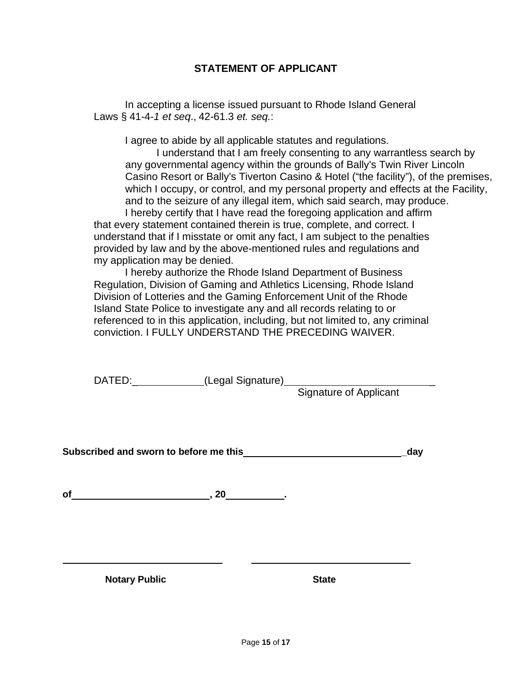## **STATEMENT OF APPLICANT**

In accepting a license issued pursuant to Rhode Island General Laws § 41-4-*1 et seq*., 42-61.3 *et. seq.*:

I agree to abide by all applicable statutes and regulations.

I understand that I am freely consenting to any warrantless search by any governmental agency within the grounds of Bally's Twin River Lincoln Casino Resort or Bally's Tiverton Casino & Hotel ("the facility"), of the premises, which I occupy, or control, and my personal property and effects at the Facility, and to the seizure of any illegal item, which said search, may produce. I hereby certify that I have read the foregoing application and affirm that every statement contained therein is true, complete, and correct. I understand that if I misstate or omit any fact, I am subject to the penalties provided by law and by the above-mentioned rules and regulations and my application may be denied.

I hereby authorize the Rhode Island Department of Business Regulation, Division of Gaming and Athletics Licensing, Rhode Island Division of Lotteries and the Gaming Enforcement Unit of the Rhode Island State Police to investigate any and all records relating to or referenced to in this application, including, but not limited to, any criminal conviction. I FULLY UNDERSTAND THE PRECEDING WAIVER.

DATED:\_\_\_\_\_\_\_\_\_\_\_\_(Legal Signature)\_\_\_\_\_\_\_\_\_\_\_\_\_\_\_\_\_\_\_\_\_\_\_\_\_\_\_\_

Signature of Applicant

**Subscribed and sworn to before me this \_day**

**of , 20 .**

**Notary Public State**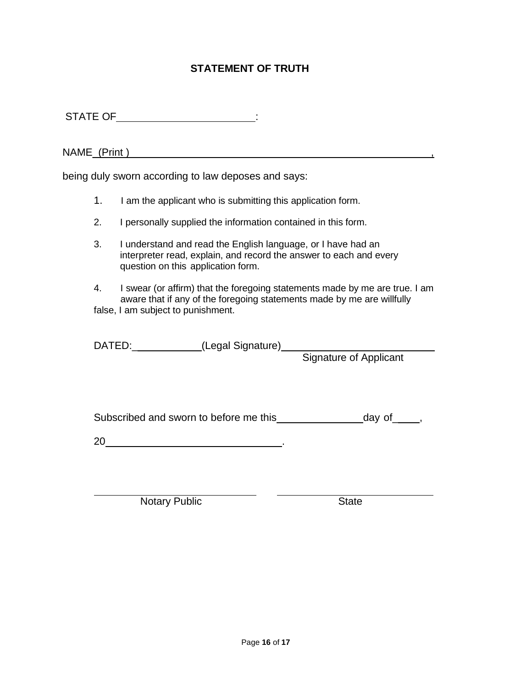## **STATEMENT OF TRUTH**

STATE OF\_\_\_\_\_\_\_\_\_\_\_\_\_\_\_\_\_\_\_\_\_\_\_\_\_\_\_\_\_\_\_:

NAME\_(Print ) ,

being duly sworn according to law deposes and says:

- 1. I am the applicant who is submitting this application form.
- 2. I personally supplied the information contained in this form.
- 3. I understand and read the English language, or I have had an interpreter read, explain, and record the answer to each and every question on this application form.
- 4. I swear (or affirm) that the foregoing statements made by me are true. I am aware that if any of the foregoing statements made by me are willfully false, I am subject to punishment.

DATED:\_\_\_\_\_\_\_\_\_\_\_(Legal Signature)

Signature of Applicant

Subscribed and sworn to before me this day of quantum day of and sworn to before me this

20 .

Notary Public State